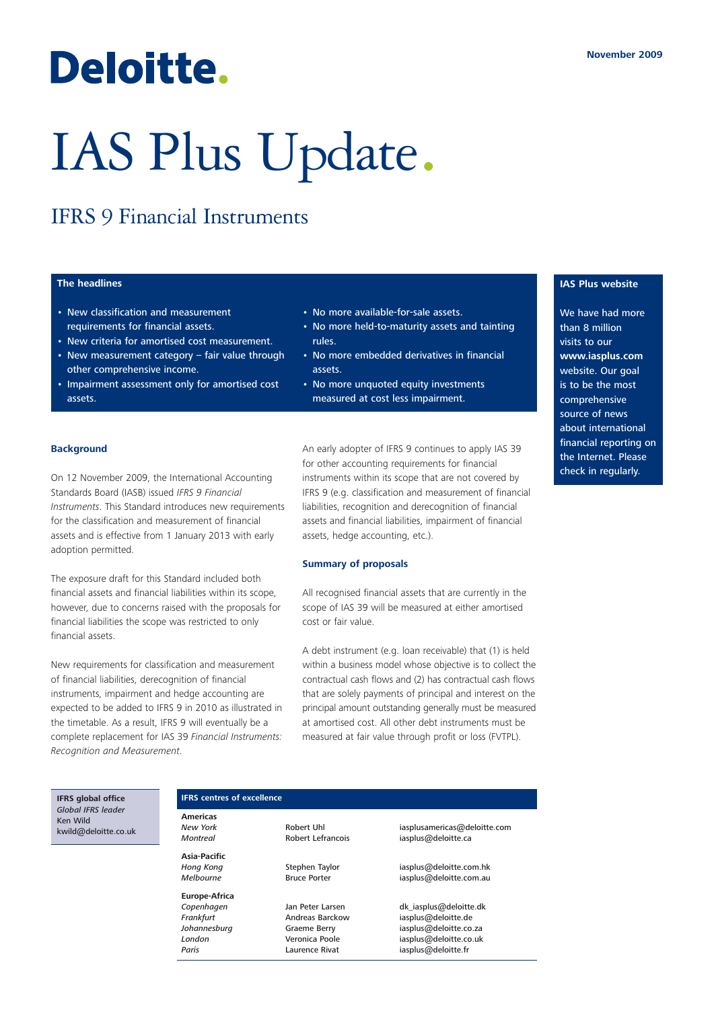## Deloitte.

# IAS Plus Update.

### IFRS 9 Financial Instruments

#### **The headlines**

- New classification and measurement requirements for financial assets.
- New criteria for amortised cost measurement.
- New measurement category fair value through other comprehensive income.
- Impairment assessment only for amortised cost assets.
- No more available-for-sale assets.
- No more held-to-maturity assets and tainting rules.
- No more embedded derivatives in financial assets.
- No more unquoted equity investments measured at cost less impairment.

#### **Background**

On 12 November 2009, the International Accounting Standards Board (IASB) issued *IFRS 9 Financial Instruments*. This Standard introduces new requirements for the classification and measurement of financial assets and is effective from 1 January 2013 with early adoption permitted.

The exposure draft for this Standard included both financial assets and financial liabilities within its scope, however, due to concerns raised with the proposals for financial liabilities the scope was restricted to only financial assets.

New requirements for classification and measurement of financial liabilities, derecognition of financial instruments, impairment and hedge accounting are expected to be added to IFRS 9 in 2010 as illustrated in the timetable. As a result, IFRS 9 will eventually be a complete replacement for IAS 39 *Financial Instruments: Recognition and Measurement*.

An early adopter of IFRS 9 continues to apply IAS 39 for other accounting requirements for financial instruments within its scope that are not covered by IFRS 9 (e.g. classification and measurement of financial liabilities, recognition and derecognition of financial assets and financial liabilities, impairment of financial assets, hedge accounting, etc.).

#### **Summary of proposals**

All recognised financial assets that are currently in the scope of IAS 39 will be measured at either amortised cost or fair value.

A debt instrument (e.g. loan receivable) that (1) is held within a business model whose objective is to collect the contractual cash flows and (2) has contractual cash flows that are solely payments of principal and interest on the principal amount outstanding generally must be measured at amortised cost. All other debt instruments must be measured at fair value through profit or loss (FVTPL).

**IAS Plus website**

We have had more than 8 million visits to our **www.iasplus.com** website. Our goal is to be the most comprehensive source of news about international financial reporting on the Internet. Please check in regularly.

**IFRS global office** *Global IFRS leader* Ken Wild kwild@deloitte.co.uk

#### **IFRS centres of excellence**

**Americas Asia-Pacific**

**Europe-Africa**

*New York* Robert Uhl iasplusamericas@deloitte.com *Montreal* Robert Lefrancois iasplus@deloitte.ca

Hong Kong **Stephen Taylor** iasplus@deloitte.com.hk *Melbourne* Bruce Porter iasplus@deloitte.com.au

Copenhagen Jan Peter Larsen dk\_iasplus@deloitte.dk *Frankfurt* Andreas Barckow iasplus@deloitte.de *Johannesburg* Graeme Berry iasplus@deloitte.co.za *London* Veronica Poole iasplus@deloitte.co.uk Paris **Paris** Laurence Rivat **iasplus@deloitte.fr**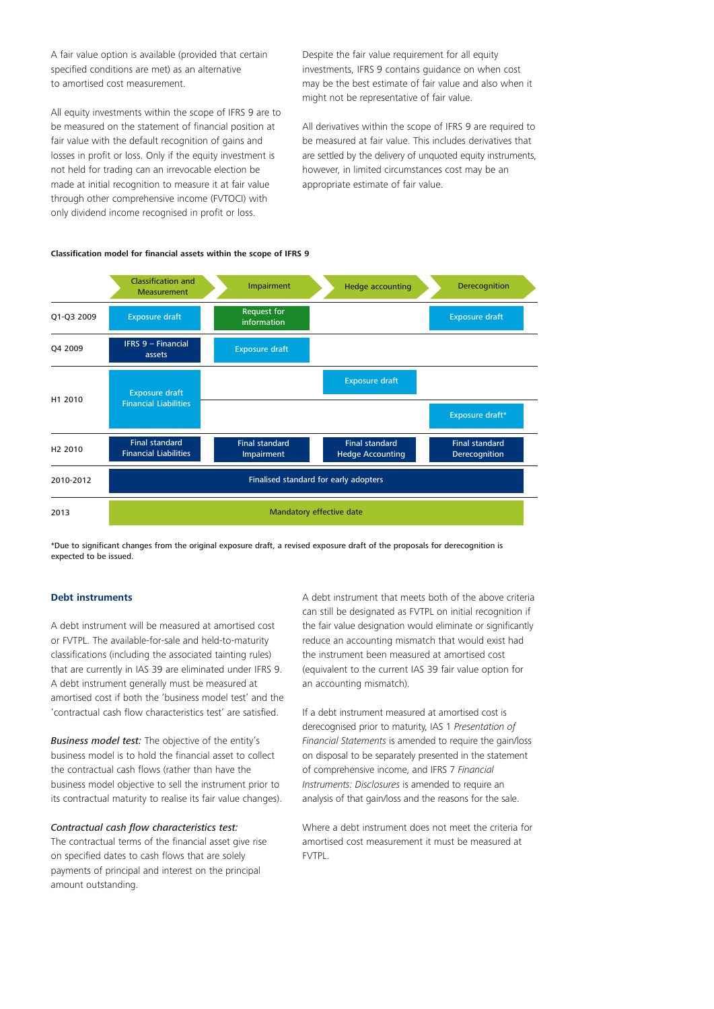A fair value option is available (provided that certain specified conditions are met) as an alternative to amortised cost measurement.

All equity investments within the scope of IFRS 9 are to be measured on the statement of financial position at fair value with the default recognition of gains and losses in profit or loss. Only if the equity investment is not held for trading can an irrevocable election be made at initial recognition to measure it at fair value through other comprehensive income (FVTOCI) with only dividend income recognised in profit or loss.

Despite the fair value requirement for all equity investments, IFRS 9 contains guidance on when cost may be the best estimate of fair value and also when it might not be representative of fair value.

All derivatives within the scope of IFRS 9 are required to be measured at fair value. This includes derivatives that are settled by the delivery of unquoted equity instruments, however, in limited circumstances cost may be an appropriate estimate of fair value.





\*Due to significant changes from the original exposure draft, a revised exposure draft of the proposals for derecognition is expected to be issued.

#### **Debt instruments**

A debt instrument will be measured at amortised cost or FVTPL. The available-for-sale and held-to-maturity classifications (including the associated tainting rules) that are currently in IAS 39 are eliminated under IFRS 9. A debt instrument generally must be measured at amortised cost if both the 'business model test' and the 'contractual cash flow characteristics test' are satisfied.

*Business model test:* The objective of the entity's business model is to hold the financial asset to collect the contractual cash flows (rather than have the business model objective to sell the instrument prior to its contractual maturity to realise its fair value changes).

#### *Contractual cash flow characteristics test:*

The contractual terms of the financial asset give rise on specified dates to cash flows that are solely payments of principal and interest on the principal amount outstanding.

A debt instrument that meets both of the above criteria can still be designated as FVTPL on initial recognition if the fair value designation would eliminate or significantly reduce an accounting mismatch that would exist had the instrument been measured at amortised cost (equivalent to the current IAS 39 fair value option for an accounting mismatch).

If a debt instrument measured at amortised cost is derecognised prior to maturity, IAS 1 *Presentation of Financial Statements* is amended to require the gain/loss on disposal to be separately presented in the statement of comprehensive income, and IFRS 7 *Financial Instruments: Disclosures* is amended to require an analysis of that gain/loss and the reasons for the sale.

Where a debt instrument does not meet the criteria for amortised cost measurement it must be measured at FVTPL.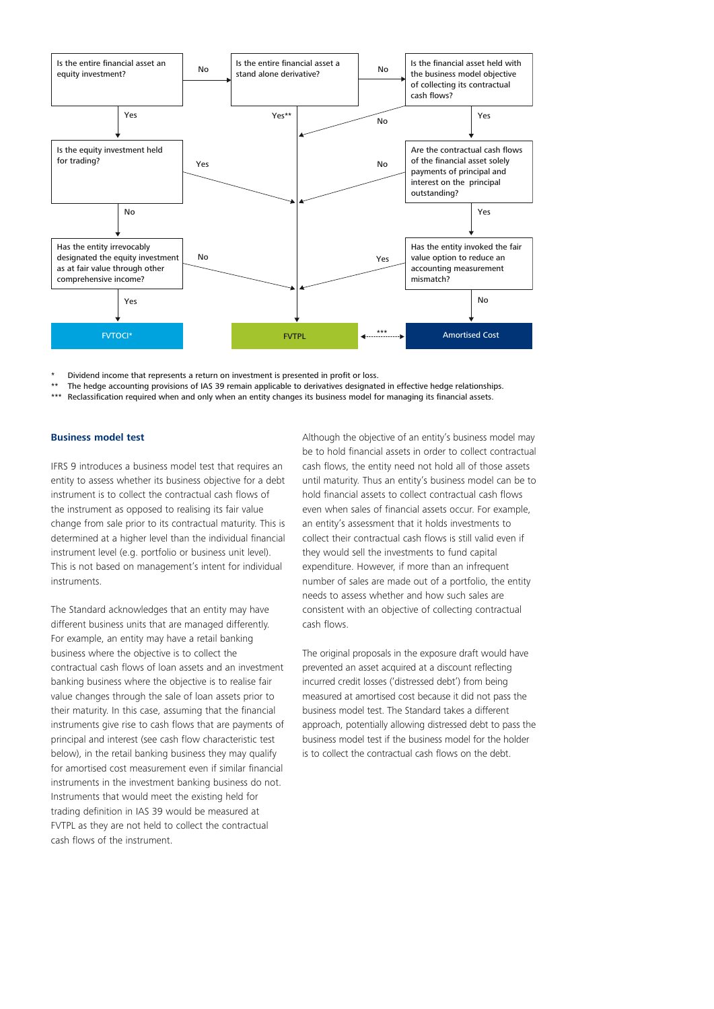

Dividend income that represents a return on investment is presented in profit or loss.

\*\* The hedge accounting provisions of IAS 39 remain applicable to derivatives designated in effective hedge relationships.<br>\*\*\* Poclassification required when and only when an entity changes its business model for managing

Reclassification required when and only when an entity changes its business model for managing its financial assets.

#### **Business model test**

IFRS 9 introduces a business model test that requires an entity to assess whether its business objective for a debt instrument is to collect the contractual cash flows of the instrument as opposed to realising its fair value change from sale prior to its contractual maturity. This is determined at a higher level than the individual financial instrument level (e.g. portfolio or business unit level). This is not based on management's intent for individual instruments.

The Standard acknowledges that an entity may have different business units that are managed differently. For example, an entity may have a retail banking business where the objective is to collect the contractual cash flows of loan assets and an investment banking business where the objective is to realise fair value changes through the sale of loan assets prior to their maturity. In this case, assuming that the financial instruments give rise to cash flows that are payments of principal and interest (see cash flow characteristic test below), in the retail banking business they may qualify for amortised cost measurement even if similar financial instruments in the investment banking business do not. Instruments that would meet the existing held for trading definition in IAS 39 would be measured at FVTPL as they are not held to collect the contractual cash flows of the instrument.

Although the objective of an entity's business model may be to hold financial assets in order to collect contractual cash flows, the entity need not hold all of those assets until maturity. Thus an entity's business model can be to hold financial assets to collect contractual cash flows even when sales of financial assets occur. For example, an entity's assessment that it holds investments to collect their contractual cash flows is still valid even if they would sell the investments to fund capital expenditure. However, if more than an infrequent number of sales are made out of a portfolio, the entity needs to assess whether and how such sales are consistent with an objective of collecting contractual cash flows.

The original proposals in the exposure draft would have prevented an asset acquired at a discount reflecting incurred credit losses ('distressed debt') from being measured at amortised cost because it did not pass the business model test. The Standard takes a different approach, potentially allowing distressed debt to pass the business model test if the business model for the holder is to collect the contractual cash flows on the debt.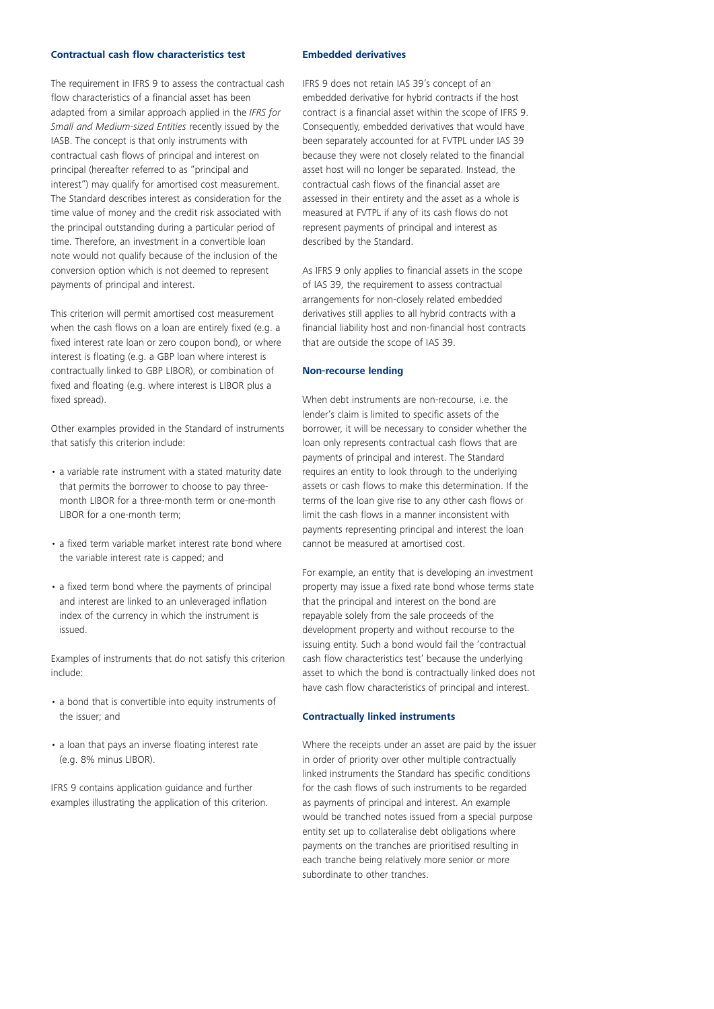#### **Contractual cash flow characteristics test**

The requirement in IFRS 9 to assess the contractual cash flow characteristics of a financial asset has been adapted from a similar approach applied in the *IFRS for Small and Medium-sized Entities* recently issued by the IASB. The concept is that only instruments with contractual cash flows of principal and interest on principal (hereafter referred to as "principal and interest") may qualify for amortised cost measurement. The Standard describes interest as consideration for the time value of money and the credit risk associated with the principal outstanding during a particular period of time. Therefore, an investment in a convertible loan note would not qualify because of the inclusion of the conversion option which is not deemed to represent payments of principal and interest.

This criterion will permit amortised cost measurement when the cash flows on a loan are entirely fixed (e.g. a fixed interest rate loan or zero coupon bond), or where interest is floating (e.g. a GBP loan where interest is contractually linked to GBP LIBOR), or combination of fixed and floating (e.g. where interest is LIBOR plus a fixed spread).

Other examples provided in the Standard of instruments that satisfy this criterion include:

- a variable rate instrument with a stated maturity date that permits the borrower to choose to pay threemonth LIBOR for a three-month term or one-month LIBOR for a one-month term;
- a fixed term variable market interest rate bond where the variable interest rate is capped; and
- a fixed term bond where the payments of principal and interest are linked to an unleveraged inflation index of the currency in which the instrument is issued.

Examples of instruments that do not satisfy this criterion include:

- a bond that is convertible into equity instruments of the issuer; and
- a loan that pays an inverse floating interest rate (e.g. 8% minus LIBOR).

IFRS 9 contains application guidance and further examples illustrating the application of this criterion.

#### **Embedded derivatives**

IFRS 9 does not retain IAS 39's concept of an embedded derivative for hybrid contracts if the host contract is a financial asset within the scope of IFRS 9. Consequently, embedded derivatives that would have been separately accounted for at FVTPL under IAS 39 because they were not closely related to the financial asset host will no longer be separated. Instead, the contractual cash flows of the financial asset are assessed in their entirety and the asset as a whole is measured at FVTPL if any of its cash flows do not represent payments of principal and interest as described by the Standard.

As IFRS 9 only applies to financial assets in the scope of IAS 39, the requirement to assess contractual arrangements for non-closely related embedded derivatives still applies to all hybrid contracts with a financial liability host and non-financial host contracts that are outside the scope of IAS 39.

#### **Non-recourse lending**

When debt instruments are non-recourse, i.e. the lender's claim is limited to specific assets of the borrower, it will be necessary to consider whether the loan only represents contractual cash flows that are payments of principal and interest. The Standard requires an entity to look through to the underlying assets or cash flows to make this determination. If the terms of the loan give rise to any other cash flows or limit the cash flows in a manner inconsistent with payments representing principal and interest the loan cannot be measured at amortised cost.

For example, an entity that is developing an investment property may issue a fixed rate bond whose terms state that the principal and interest on the bond are repayable solely from the sale proceeds of the development property and without recourse to the issuing entity. Such a bond would fail the 'contractual cash flow characteristics test' because the underlying asset to which the bond is contractually linked does not have cash flow characteristics of principal and interest.

#### **Contractually linked instruments**

Where the receipts under an asset are paid by the issuer in order of priority over other multiple contractually linked instruments the Standard has specific conditions for the cash flows of such instruments to be regarded as payments of principal and interest. An example would be tranched notes issued from a special purpose entity set up to collateralise debt obligations where payments on the tranches are prioritised resulting in each tranche being relatively more senior or more subordinate to other tranches.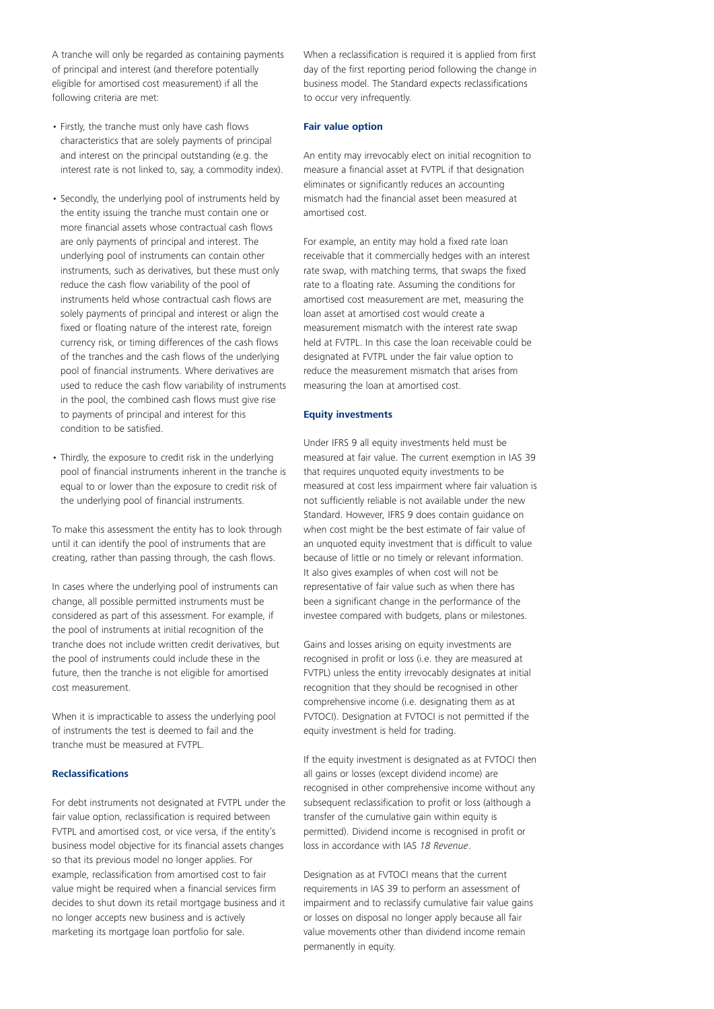A tranche will only be regarded as containing payments of principal and interest (and therefore potentially eligible for amortised cost measurement) if all the following criteria are met:

- Firstly, the tranche must only have cash flows characteristics that are solely payments of principal and interest on the principal outstanding (e.g. the interest rate is not linked to, say, a commodity index).
- Secondly, the underlying pool of instruments held by the entity issuing the tranche must contain one or more financial assets whose contractual cash flows are only payments of principal and interest. The underlying pool of instruments can contain other instruments, such as derivatives, but these must only reduce the cash flow variability of the pool of instruments held whose contractual cash flows are solely payments of principal and interest or align the fixed or floating nature of the interest rate, foreign currency risk, or timing differences of the cash flows of the tranches and the cash flows of the underlying pool of financial instruments. Where derivatives are used to reduce the cash flow variability of instruments in the pool, the combined cash flows must give rise to payments of principal and interest for this condition to be satisfied.
- Thirdly, the exposure to credit risk in the underlying pool of financial instruments inherent in the tranche is equal to or lower than the exposure to credit risk of the underlying pool of financial instruments.

To make this assessment the entity has to look through until it can identify the pool of instruments that are creating, rather than passing through, the cash flows.

In cases where the underlying pool of instruments can change, all possible permitted instruments must be considered as part of this assessment. For example, if the pool of instruments at initial recognition of the tranche does not include written credit derivatives, but the pool of instruments could include these in the future, then the tranche is not eligible for amortised cost measurement.

When it is impracticable to assess the underlying pool of instruments the test is deemed to fail and the tranche must be measured at FVTPL.

#### **Reclassifications**

For debt instruments not designated at FVTPL under the fair value option, reclassification is required between FVTPL and amortised cost, or vice versa, if the entity's business model objective for its financial assets changes so that its previous model no longer applies. For example, reclassification from amortised cost to fair value might be required when a financial services firm decides to shut down its retail mortgage business and it no longer accepts new business and is actively marketing its mortgage loan portfolio for sale.

When a reclassification is required it is applied from first day of the first reporting period following the change in business model. The Standard expects reclassifications to occur very infrequently.

#### **Fair value option**

An entity may irrevocably elect on initial recognition to measure a financial asset at FVTPL if that designation eliminates or significantly reduces an accounting mismatch had the financial asset been measured at amortised cost.

For example, an entity may hold a fixed rate loan receivable that it commercially hedges with an interest rate swap, with matching terms, that swaps the fixed rate to a floating rate. Assuming the conditions for amortised cost measurement are met, measuring the loan asset at amortised cost would create a measurement mismatch with the interest rate swap held at FVTPL. In this case the loan receivable could be designated at FVTPL under the fair value option to reduce the measurement mismatch that arises from measuring the loan at amortised cost.

#### **Equity investments**

Under IFRS 9 all equity investments held must be measured at fair value. The current exemption in IAS 39 that requires unquoted equity investments to be measured at cost less impairment where fair valuation is not sufficiently reliable is not available under the new Standard. However, IFRS 9 does contain guidance on when cost might be the best estimate of fair value of an unquoted equity investment that is difficult to value because of little or no timely or relevant information. It also gives examples of when cost will not be representative of fair value such as when there has been a significant change in the performance of the investee compared with budgets, plans or milestones.

Gains and losses arising on equity investments are recognised in profit or loss (i.e. they are measured at FVTPL) unless the entity irrevocably designates at initial recognition that they should be recognised in other comprehensive income (i.e. designating them as at FVTOCI). Designation at FVTOCI is not permitted if the equity investment is held for trading.

If the equity investment is designated as at FVTOCI then all gains or losses (except dividend income) are recognised in other comprehensive income without any subsequent reclassification to profit or loss (although a transfer of the cumulative gain within equity is permitted). Dividend income is recognised in profit or loss in accordance with IAS *18 Revenue*.

Designation as at FVTOCI means that the current requirements in IAS 39 to perform an assessment of impairment and to reclassify cumulative fair value gains or losses on disposal no longer apply because all fair value movements other than dividend income remain permanently in equity.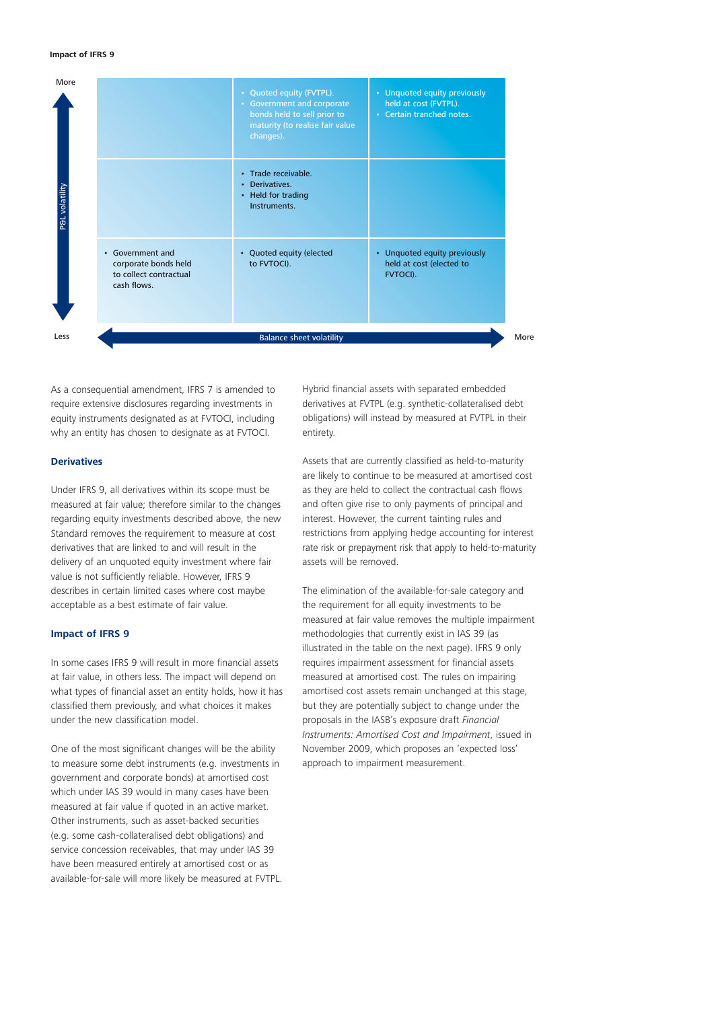#### **Impact of IFRS 9**



As a consequential amendment, IFRS 7 is amended to require extensive disclosures regarding investments in equity instruments designated as at FVTOCI, including why an entity has chosen to designate as at FVTOCI.

#### **Derivatives**

Under IFRS 9, all derivatives within its scope must be measured at fair value; therefore similar to the changes regarding equity investments described above, the new Standard removes the requirement to measure at cost derivatives that are linked to and will result in the delivery of an unquoted equity investment where fair value is not sufficiently reliable. However, IFRS 9 describes in certain limited cases where cost maybe acceptable as a best estimate of fair value.

#### **Impact of IFRS 9**

In some cases IFRS 9 will result in more financial assets at fair value, in others less. The impact will depend on what types of financial asset an entity holds, how it has classified them previously, and what choices it makes under the new classification model.

One of the most significant changes will be the ability to measure some debt instruments (e.g. investments in government and corporate bonds) at amortised cost which under IAS 39 would in many cases have been measured at fair value if quoted in an active market. Other instruments, such as asset-backed securities (e.g. some cash-collateralised debt obligations) and service concession receivables, that may under IAS 39 have been measured entirely at amortised cost or as available-for-sale will more likely be measured at FVTPL. Hybrid financial assets with separated embedded derivatives at FVTPL (e.g. synthetic-collateralised debt obligations) will instead by measured at FVTPL in their entirety.

Assets that are currently classified as held-to-maturity are likely to continue to be measured at amortised cost as they are held to collect the contractual cash flows and often give rise to only payments of principal and interest. However, the current tainting rules and restrictions from applying hedge accounting for interest rate risk or prepayment risk that apply to held-to-maturity assets will be removed.

The elimination of the available-for-sale category and the requirement for all equity investments to be measured at fair value removes the multiple impairment methodologies that currently exist in IAS 39 (as illustrated in the table on the next page). IFRS 9 only requires impairment assessment for financial assets measured at amortised cost. The rules on impairing amortised cost assets remain unchanged at this stage, but they are potentially subject to change under the proposals in the IASB's exposure draft *Financial Instruments: Amortised Cost and Impairment*, issued in November 2009, which proposes an 'expected loss' approach to impairment measurement.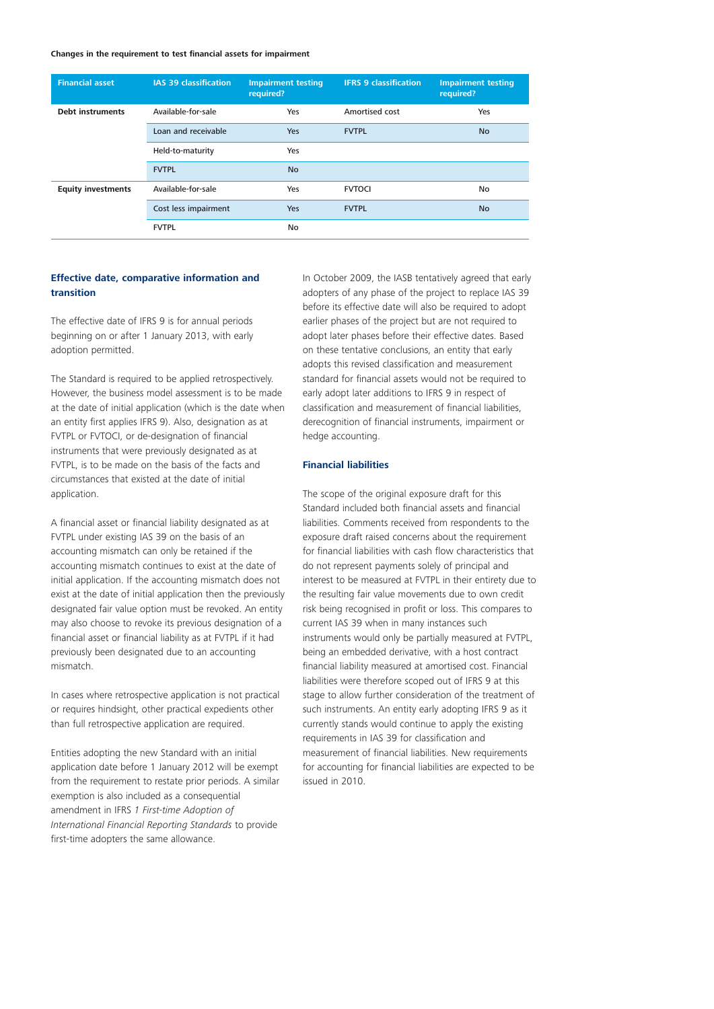#### **Changes in the requirement to test financial assets for impairment**

| <b>Financial asset</b>    | <b>IAS 39 classification</b> | <b>Impairment testing</b><br>required? | <b>IFRS 9 classification</b> | <b>Impairment testing</b><br>required? |
|---------------------------|------------------------------|----------------------------------------|------------------------------|----------------------------------------|
| <b>Debt instruments</b>   | Available-for-sale           | Yes                                    | Amortised cost               | Yes                                    |
|                           | Loan and receivable          | <b>Yes</b>                             | <b>FVTPL</b>                 | <b>No</b>                              |
|                           | Held-to-maturity             | Yes                                    |                              |                                        |
|                           | <b>FVTPL</b>                 | <b>No</b>                              |                              |                                        |
| <b>Equity investments</b> | Available-for-sale           | Yes                                    | <b>FVTOCI</b>                | No                                     |
|                           | Cost less impairment         | <b>Yes</b>                             | <b>FVTPL</b>                 | <b>No</b>                              |
|                           | <b>FVTPL</b>                 | No                                     |                              |                                        |

#### **Effective date, comparative information and transition**

The effective date of IFRS 9 is for annual periods beginning on or after 1 January 2013, with early adoption permitted.

The Standard is required to be applied retrospectively. However, the business model assessment is to be made at the date of initial application (which is the date when an entity first applies IFRS 9). Also, designation as at FVTPL or FVTOCI, or de-designation of financial instruments that were previously designated as at FVTPL, is to be made on the basis of the facts and circumstances that existed at the date of initial application.

A financial asset or financial liability designated as at FVTPL under existing IAS 39 on the basis of an accounting mismatch can only be retained if the accounting mismatch continues to exist at the date of initial application. If the accounting mismatch does not exist at the date of initial application then the previously designated fair value option must be revoked. An entity may also choose to revoke its previous designation of a financial asset or financial liability as at FVTPL if it had previously been designated due to an accounting mismatch.

In cases where retrospective application is not practical or requires hindsight, other practical expedients other than full retrospective application are required.

Entities adopting the new Standard with an initial application date before 1 January 2012 will be exempt from the requirement to restate prior periods. A similar exemption is also included as a consequential amendment in IFRS *1 First-time Adoption of International Financial Reporting Standards* to provide first-time adopters the same allowance.

In October 2009, the IASB tentatively agreed that early adopters of any phase of the project to replace IAS 39 before its effective date will also be required to adopt earlier phases of the project but are not required to adopt later phases before their effective dates. Based on these tentative conclusions, an entity that early adopts this revised classification and measurement standard for financial assets would not be required to early adopt later additions to IFRS 9 in respect of classification and measurement of financial liabilities, derecognition of financial instruments, impairment or hedge accounting.

#### **Financial liabilities**

The scope of the original exposure draft for this Standard included both financial assets and financial liabilities. Comments received from respondents to the exposure draft raised concerns about the requirement for financial liabilities with cash flow characteristics that do not represent payments solely of principal and interest to be measured at FVTPL in their entirety due to the resulting fair value movements due to own credit risk being recognised in profit or loss. This compares to current IAS 39 when in many instances such instruments would only be partially measured at FVTPL, being an embedded derivative, with a host contract financial liability measured at amortised cost. Financial liabilities were therefore scoped out of IFRS 9 at this stage to allow further consideration of the treatment of such instruments. An entity early adopting IFRS 9 as it currently stands would continue to apply the existing requirements in IAS 39 for classification and measurement of financial liabilities. New requirements for accounting for financial liabilities are expected to be issued in 2010.